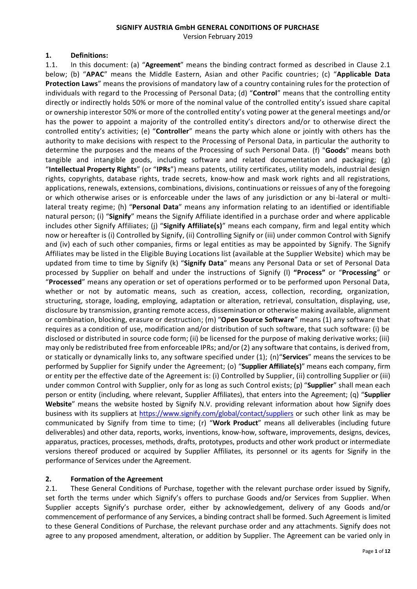#### **SIGNIFY AUSTRIA GmbH GENERAL CONDITIONS OF PURCHASE**

Version February 2019

#### **1. Definitions:**

1.1. In this document: (a) "**Agreement**" means the binding contract formed as described in Clause 2.1 below; (b) "**APAC**" means the Middle Eastern, Asian and other Pacific countries; (c) "**Applicable Data Protection Laws**" means the provisions of mandatory law of a country containing rules for the protection of individuals with regard to the Processing of Personal Data; (d) "**Control**" means that the controlling entity directly or indirectly holds 50% or more of the nominal value of the controlled entity's issued share capital or ownership interestor 50% or more of the controlled entity's voting power at the general meetings and/or has the power to appoint a majority of the controlled entity's directors and/or to otherwise direct the controlled entity's activities; (e) "**Controller**" means the party which alone or jointly with others has the authority to make decisions with respect to the Processing of Personal Data, in particular the authority to determine the purposes and the means of the Processing of such Personal Data. (f) "**Goods**" means both tangible and intangible goods, including software and related documentation and packaging; (g) "**Intellectual Property Rights**" (or "**IPRs**") means patents, utility certificates, utility models, industrial design rights, copyrights, database rights, trade secrets, know-how and mask work rights and all registrations, applications, renewals, extensions, combinations, divisions, continuations or reissues of any of the foregoing or which otherwise arises or is enforceable under the laws of any jurisdiction or any bi-lateral or multilateral treaty regime; (h) "**Personal Data**" means any information relating to an identified or identifiable natural person; (i) "**Signify**" means the Signify Affiliate identified in a purchase order and where applicable includes other Signify Affiliates; (j) "**Signify Affiliate(s)**" means each company, firm and legal entity which now or hereafter is (i) Controlled by Signify, (ii) Controlling Signify or (iii) under common Control with Signify and (iv) each of such other companies, firms or legal entities as may be appointed by Signify. The Signify Affiliates may be listed in the Eligible Buying Locations list (available at the Supplier Website) which may be updated from time to time by Signify (k) "**Signify Data**" means any Personal Data or set of Personal Data processed by Supplier on behalf and under the instructions of Signify (l) **"Process"** or "**Processing**" or "**Processed**" means any operation or set of operations performed or to be performed upon Personal Data, whether or not by automatic means, such as creation, access, collection, recording, organization, structuring, storage, loading, employing, adaptation or alteration, retrieval, consultation, displaying, use, disclosure by transmission, granting remote access, dissemination or otherwise making available, alignment or combination, blocking, erasure or destruction; (m) "**Open Source Software**" means (1) any software that requires as a condition of use, modification and/or distribution of such software, that such software: (i) be disclosed or distributed in source code form; (ii) be licensed for the purpose of making derivative works; (iii) may only be redistributed free from enforceable IPRs; and/or (2) any software that contains, is derived from, or statically or dynamically links to, any software specified under (1); (n)"**Services**" means the services to be performed by Supplier for Signify under the Agreement; (o) "**Supplier Affiliate(s)**" means each company, firm or entity per the effective date of the Agreement is: (i) Controlled by Supplier, (ii) controlling Supplier or (iii) under common Control with Supplier, only for as long as such Control exists; (p) "**Supplier**" shall mean each person or entity (including, where relevant, Supplier Affiliates), that enters into the Agreement; (q) "**Supplier Website**" means the website hosted by Signify N.V. providing relevant information about how Signify does business with its suppliers at <https://www.signify.com/global/contact/suppliers> or such other link as may be communicated by Signify from time to time; (r) "**Work Product**" means all deliverables (including future deliverables) and other data, reports, works, inventions, know-how, software, improvements, designs, devices, apparatus, practices, processes, methods, drafts, prototypes, products and other work product or intermediate versions thereof produced or acquired by Supplier Affiliates, its personnel or its agents for Signify in the performance of Services under the Agreement.

## **2. Formation of the Agreement**

2.1. These General Conditions of Purchase, together with the relevant purchase order issued by Signify, set forth the terms under which Signify's offers to purchase Goods and/or Services from Supplier. When Supplier accepts Signify's purchase order, either by acknowledgement, delivery of any Goods and/or commencement of performance of any Services, a binding contract shall be formed. Such Agreement is limited to these General Conditions of Purchase, the relevant purchase order and any attachments. Signify does not agree to any proposed amendment, alteration, or addition by Supplier. The Agreement can be varied only in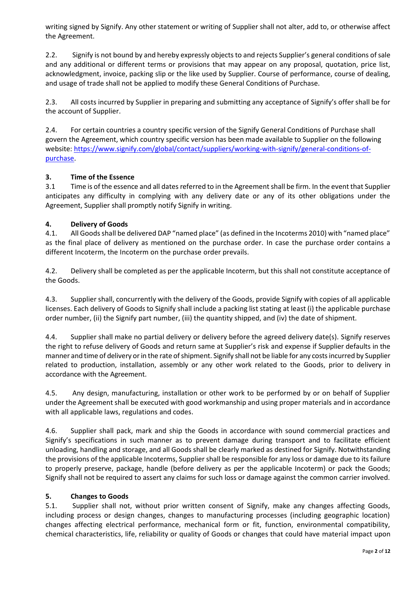writing signed by Signify. Any other statement or writing of Supplier shall not alter, add to, or otherwise affect the Agreement.

2.2. Signify is not bound by and hereby expressly objects to and rejects Supplier's general conditions of sale and any additional or different terms or provisions that may appear on any proposal, quotation, price list, acknowledgment, invoice, packing slip or the like used by Supplier. Course of performance, course of dealing, and usage of trade shall not be applied to modify these General Conditions of Purchase.

2.3. All costs incurred by Supplier in preparing and submitting any acceptance of Signify's offer shall be for the account of Supplier.

2.4. For certain countries a country specific version of the Signify General Conditions of Purchase shall govern the Agreement, which country specific version has been made available to Supplier on the following website[: https://www.signify.com/global/contact/suppliers/working-with-signify/general-conditions-of](https://www.signify.com/global/contact/suppliers/working-with-signify/general-conditions-of-purchase)[purchase.](https://www.signify.com/global/contact/suppliers/working-with-signify/general-conditions-of-purchase)

#### **3. Time of the Essence**

3.1 Time is of the essence and all dates referred to in the Agreement shall be firm. In the event that Supplier anticipates any difficulty in complying with any delivery date or any of its other obligations under the Agreement, Supplier shall promptly notify Signify in writing.

#### **4. Delivery of Goods**

4.1. All Goods shall be delivered DAP "named place" (as defined in the Incoterms 2010) with "named place" as the final place of delivery as mentioned on the purchase order. In case the purchase order contains a different Incoterm, the Incoterm on the purchase order prevails.

4.2. Delivery shall be completed as per the applicable Incoterm, but this shall not constitute acceptance of the Goods.

4.3. Supplier shall, concurrently with the delivery of the Goods, provide Signify with copies of all applicable licenses. Each delivery of Goods to Signify shall include a packing list stating at least (i) the applicable purchase order number, (ii) the Signify part number, (iii) the quantity shipped, and (iv) the date of shipment.

4.4. Supplier shall make no partial delivery or delivery before the agreed delivery date(s). Signify reserves the right to refuse delivery of Goods and return same at Supplier's risk and expense if Supplier defaults in the manner and time of delivery or in the rate of shipment. Signify shall not be liable for any costs incurred by Supplier related to production, installation, assembly or any other work related to the Goods, prior to delivery in accordance with the Agreement.

4.5. Any design, manufacturing, installation or other work to be performed by or on behalf of Supplier under the Agreement shall be executed with good workmanship and using proper materials and in accordance with all applicable laws, regulations and codes.

4.6. Supplier shall pack, mark and ship the Goods in accordance with sound commercial practices and Signify's specifications in such manner as to prevent damage during transport and to facilitate efficient unloading, handling and storage, and all Goods shall be clearly marked as destined for Signify. Notwithstanding the provisions of the applicable Incoterms, Supplier shall be responsible for any loss or damage due to its failure to properly preserve, package, handle (before delivery as per the applicable Incoterm) or pack the Goods; Signify shall not be required to assert any claims for such loss or damage against the common carrier involved.

#### **5. Changes to Goods**

5.1. Supplier shall not, without prior written consent of Signify, make any changes affecting Goods, including process or design changes, changes to manufacturing processes (including geographic location) changes affecting electrical performance, mechanical form or fit, function, environmental compatibility, chemical characteristics, life, reliability or quality of Goods or changes that could have material impact upon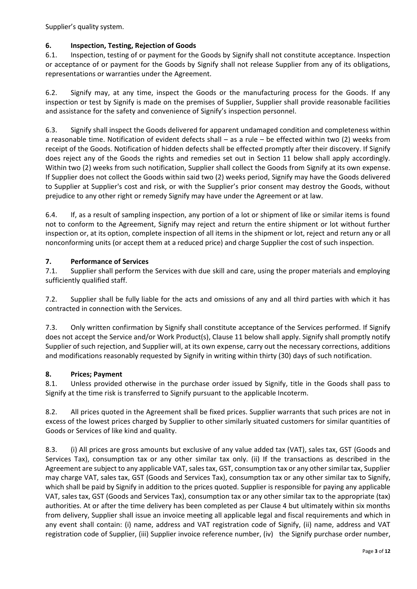Supplier's quality system.

## **6. Inspection, Testing, Rejection of Goods**

6.1. Inspection, testing of or payment for the Goods by Signify shall not constitute acceptance. Inspection or acceptance of or payment for the Goods by Signify shall not release Supplier from any of its obligations, representations or warranties under the Agreement.

6.2. Signify may, at any time, inspect the Goods or the manufacturing process for the Goods. If any inspection or test by Signify is made on the premises of Supplier, Supplier shall provide reasonable facilities and assistance for the safety and convenience of Signify's inspection personnel.

6.3. Signify shall inspect the Goods delivered for apparent undamaged condition and completeness within a reasonable time. Notification of evident defects shall – as a rule – be effected within two (2) weeks from receipt of the Goods. Notification of hidden defects shall be effected promptly after their discovery. If Signify does reject any of the Goods the rights and remedies set out in Section 11 below shall apply accordingly. Within two (2) weeks from such notification, Supplier shall collect the Goods from Signify at its own expense. If Supplier does not collect the Goods within said two (2) weeks period, Signify may have the Goods delivered to Supplier at Supplier's cost and risk, or with the Supplier's prior consent may destroy the Goods, without prejudice to any other right or remedy Signify may have under the Agreement or at law.

6.4. If, as a result of sampling inspection, any portion of a lot or shipment of like or similar items is found not to conform to the Agreement, Signify may reject and return the entire shipment or lot without further inspection or, at its option, complete inspection of all items in the shipment or lot, reject and return any or all nonconforming units (or accept them at a reduced price) and charge Supplier the cost of such inspection.

#### **7. Performance of Services**

7.1. Supplier shall perform the Services with due skill and care, using the proper materials and employing sufficiently qualified staff.

7.2. Supplier shall be fully liable for the acts and omissions of any and all third parties with which it has contracted in connection with the Services.

7.3. Only written confirmation by Signify shall constitute acceptance of the Services performed. If Signify does not accept the Service and/or Work Product(s), Clause 11 below shall apply. Signify shall promptly notify Supplier of such rejection, and Supplier will, at its own expense, carry out the necessary corrections, additions and modifications reasonably requested by Signify in writing within thirty (30) days of such notification.

## **8. Prices; Payment**

8.1. Unless provided otherwise in the purchase order issued by Signify, title in the Goods shall pass to Signify at the time risk is transferred to Signify pursuant to the applicable Incoterm.

8.2. All prices quoted in the Agreement shall be fixed prices. Supplier warrants that such prices are not in excess of the lowest prices charged by Supplier to other similarly situated customers for similar quantities of Goods or Services of like kind and quality.

8.3. (i) All prices are gross amounts but exclusive of any value added tax (VAT), sales tax, GST (Goods and Services Tax), consumption tax or any other similar tax only. (ii) If the transactions as described in the Agreement are subject to any applicable VAT, sales tax, GST, consumption tax or any other similar tax, Supplier may charge VAT, sales tax, GST (Goods and Services Tax), consumption tax or any other similar tax to Signify, which shall be paid by Signify in addition to the prices quoted. Supplier is responsible for paying any applicable VAT, sales tax, GST (Goods and Services Tax), consumption tax or any other similar tax to the appropriate (tax) authorities. At or after the time delivery has been completed as per Clause 4 but ultimately within six months from delivery, Supplier shall issue an invoice meeting all applicable legal and fiscal requirements and which in any event shall contain: (i) name, address and VAT registration code of Signify, (ii) name, address and VAT registration code of Supplier, (iii) Supplier invoice reference number, (iv) the Signify purchase order number,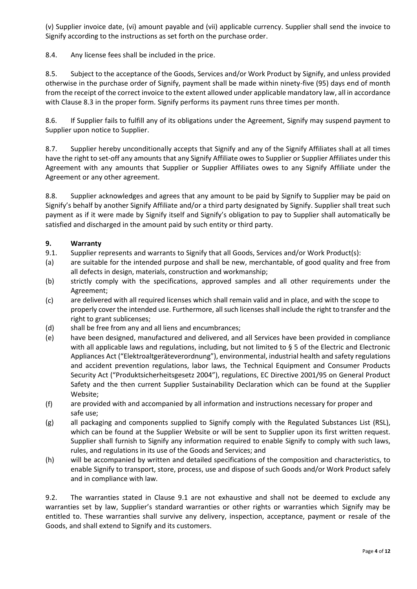(v) Supplier invoice date, (vi) amount payable and (vii) applicable currency. Supplier shall send the invoice to Signify according to the instructions as set forth on the purchase order.

8.4. Any license fees shall be included in the price.

8.5. Subject to the acceptance of the Goods, Services and/or Work Product by Signify, and unless provided otherwise in the purchase order of Signify, payment shall be made within ninety-five (95) days end of month from the receipt of the correct invoice to the extent allowed under applicable mandatory law, all in accordance with Clause 8.3 in the proper form. Signify performs its payment runs three times per month.

8.6. If Supplier fails to fulfill any of its obligations under the Agreement, Signify may suspend payment to Supplier upon notice to Supplier.

8.7. Supplier hereby unconditionally accepts that Signify and any of the Signify Affiliates shall at all times have the right to set-off any amounts that any Signify Affiliate owes to Supplier or Supplier Affiliates under this Agreement with any amounts that Supplier or Supplier Affiliates owes to any Signify Affiliate under the Agreement or any other agreement.

8.8. Supplier acknowledges and agrees that any amount to be paid by Signify to Supplier may be paid on Signify's behalf by another Signify Affiliate and/or a third party designated by Signify. Supplier shall treat such payment as if it were made by Signify itself and Signify's obligation to pay to Supplier shall automatically be satisfied and discharged in the amount paid by such entity or third party.

## **9. Warranty**

- 9.1. Supplier represents and warrants to Signify that all Goods, Services and/or Work Product(s):
- (a) are suitable for the intended purpose and shall be new, merchantable, of good quality and free from all defects in design, materials, construction and workmanship;
- (b) strictly comply with the specifications, approved samples and all other requirements under the Agreement;
- (c) are delivered with all required licenses which shall remain valid and in place, and with the scope to properly cover the intended use. Furthermore, all such licenses shall include the right to transfer and the right to grant sublicenses;
- (d) shall be free from any and all liens and encumbrances;
- (e) have been designed, manufactured and delivered, and all Services have been provided in compliance with all applicable laws and regulations, including, but not limited to § 5 of the Electric and Electronic Appliances Act ("Elektroaltgeräteverordnung"), environmental, industrial health and safety regulations and accident prevention regulations, labor laws, the Technical Equipment and Consumer Products Security Act ("Produktsicherheitsgesetz 2004"), regulations, EC Directive 2001/95 on General Product Safety and the then current Supplier Sustainability Declaration which can be found at the Supplier Website;
- (f) are provided with and accompanied by all information and instructions necessary for proper and safe use;
- (g) all packaging and components supplied to Signify comply with the Regulated Substances List (RSL), which can be found at the Supplier Website or will be sent to Supplier upon its first written request. Supplier shall furnish to Signify any information required to enable Signify to comply with such laws, rules, and regulations in its use of the Goods and Services; and
- (h) will be accompanied by written and detailed specifications of the composition and characteristics, to enable Signify to transport, store, process, use and dispose of such Goods and/or Work Product safely and in compliance with law.

9.2. The warranties stated in Clause 9.1 are not exhaustive and shall not be deemed to exclude any warranties set by law, Supplier's standard warranties or other rights or warranties which Signify may be entitled to. These warranties shall survive any delivery, inspection, acceptance, payment or resale of the Goods, and shall extend to Signify and its customers.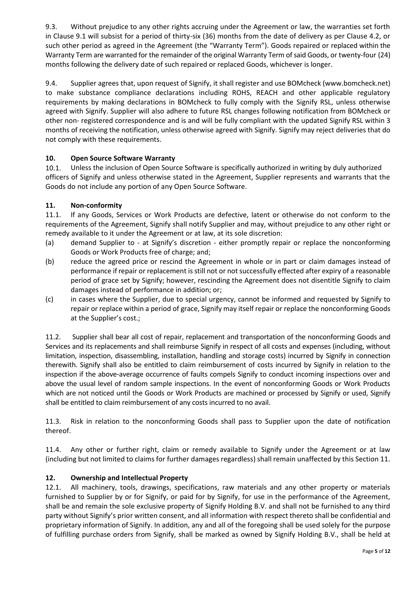9.3. Without prejudice to any other rights accruing under the Agreement or law, the warranties set forth in Clause 9.1 will subsist for a period of thirty-six (36) months from the date of delivery as per Clause 4.2, or such other period as agreed in the Agreement (the "Warranty Term"). Goods repaired or replaced within the Warranty Term are warranted for the remainder of the original Warranty Term of said Goods, or twenty-four (24) months following the delivery date of such repaired or replaced Goods, whichever is longer.

9.4. Supplier agrees that, upon request of Signify, it shall register and use BOMcheck [\(www.bomcheck.net\)](file:///C:/Users/310029095/AppData/Local/Microsoft/Windows/Temporary%20Internet%20Files/Content.Outlook/VGEK5KH3/www.bomcheck.net) to make substance compliance declarations including ROHS, REACH and other applicable regulatory requirements by making declarations in BOMcheck to fully comply with the Signify RSL, unless otherwise agreed with Signify. Supplier will also adhere to future RSL changes following notification from BOMcheck or other non- registered correspondence and is and will be fully compliant with the updated Signify RSL within 3 months of receiving the notification, unless otherwise agreed with Signify. Signify may reject deliveries that do not comply with these requirements.

# **10. Open Source Software Warranty**

10.1. Unless the inclusion of Open Source Software is specifically authorized in writing by duly authorized officers of Signify and unless otherwise stated in the Agreement, Supplier represents and warrants that the Goods do not include any portion of any Open Source Software.

## **11. Non-conformity**

11.1. If any Goods, Services or Work Products are defective, latent or otherwise do not conform to the requirements of the Agreement, Signify shall notify Supplier and may, without prejudice to any other right or remedy available to it under the Agreement or at law, at its sole discretion:

- (a) demand Supplier to at Signify's discretion either promptly repair or replace the nonconforming Goods or Work Products free of charge; and;
- (b) reduce the agreed price or rescind the Agreement in whole or in part or claim damages instead of performance if repair or replacement is still not or not successfully effected after expiry of a reasonable period of grace set by Signify; however, rescinding the Agreement does not disentitle Signify to claim damages instead of performance in addition; or;
- (c) in cases where the Supplier, due to special urgency, cannot be informed and requested by Signify to repair or replace within a period of grace, Signify may itself repair or replace the nonconforming Goods at the Supplier's cost.;

11.2. Supplier shall bear all cost of repair, replacement and transportation of the nonconforming Goods and Services and its replacements and shall reimburse Signify in respect of all costs and expenses (including, without limitation, inspection, disassembling, installation, handling and storage costs) incurred by Signify in connection therewith. Signify shall also be entitled to claim reimbursement of costs incurred by Signify in relation to the inspection if the above-average occurrence of faults compels Signify to conduct incoming inspections over and above the usual level of random sample inspections. In the event of nonconforming Goods or Work Products which are not noticed until the Goods or Work Products are machined or processed by Signify or used, Signify shall be entitled to claim reimbursement of any costs incurred to no avail.

11.3. Risk in relation to the nonconforming Goods shall pass to Supplier upon the date of notification thereof.

11.4. Any other or further right, claim or remedy available to Signify under the Agreement or at law (including but not limited to claims for further damages regardless) shall remain unaffected by this Section 11.

## **12. Ownership and Intellectual Property**

12.1. All machinery, tools, drawings, specifications, raw materials and any other property or materials furnished to Supplier by or for Signify, or paid for by Signify, for use in the performance of the Agreement, shall be and remain the sole exclusive property of Signify Holding B.V. and shall not be furnished to any third party without Signify's prior written consent, and all information with respect thereto shall be confidential and proprietary information of Signify. In addition, any and all of the foregoing shall be used solely for the purpose of fulfilling purchase orders from Signify, shall be marked as owned by Signify Holding B.V., shall be held at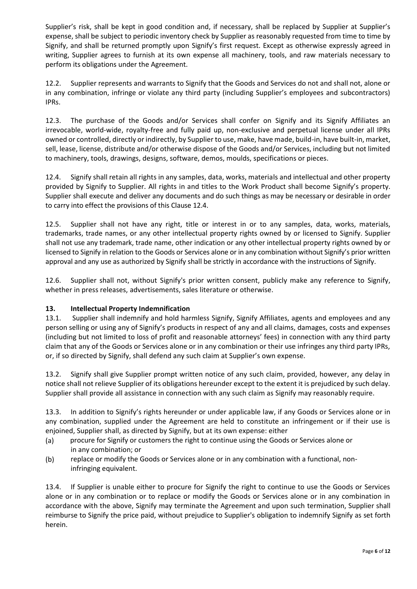Supplier's risk, shall be kept in good condition and, if necessary, shall be replaced by Supplier at Supplier's expense, shall be subject to periodic inventory check by Supplier as reasonably requested from time to time by Signify, and shall be returned promptly upon Signify's first request. Except as otherwise expressly agreed in writing, Supplier agrees to furnish at its own expense all machinery, tools, and raw materials necessary to perform its obligations under the Agreement.

12.2. Supplier represents and warrants to Signify that the Goods and Services do not and shall not, alone or in any combination, infringe or violate any third party (including Supplier's employees and subcontractors) IPRs.

12.3. The purchase of the Goods and/or Services shall confer on Signify and its Signify Affiliates an irrevocable, world-wide, royalty-free and fully paid up, non-exclusive and perpetual license under all IPRs owned or controlled, directly or indirectly, by Supplier to use, make, have made, build-in, have built-in, market, sell, lease, license, distribute and/or otherwise dispose of the Goods and/or Services, including but not limited to machinery, tools, drawings, designs, software, demos, moulds, specifications or pieces.

12.4. Signify shall retain all rights in any samples, data, works, materials and intellectual and other property provided by Signify to Supplier. All rights in and titles to the Work Product shall become Signify's property. Supplier shall execute and deliver any documents and do such things as may be necessary or desirable in order to carry into effect the provisions of this Clause 12.4.

12.5. Supplier shall not have any right, title or interest in or to any samples, data, works, materials, trademarks, trade names, or any other intellectual property rights owned by or licensed to Signify. Supplier shall not use any trademark, trade name, other indication or any other intellectual property rights owned by or licensed to Signify in relation to the Goods or Services alone or in any combination without Signify's prior written approval and any use as authorized by Signify shall be strictly in accordance with the instructions of Signify.

12.6. Supplier shall not, without Signify's prior written consent, publicly make any reference to Signify, whether in press releases, advertisements, sales literature or otherwise.

## **13. Intellectual Property Indemnification**

13.1. Supplier shall indemnify and hold harmless Signify, Signify Affiliates, agents and employees and any person selling or using any of Signify's products in respect of any and all claims, damages, costs and expenses (including but not limited to loss of profit and reasonable attorneys' fees) in connection with any third party claim that any of the Goods or Services alone or in any combination or their use infringes any third party IPRs, or, if so directed by Signify, shall defend any such claim at Supplier's own expense.

13.2. Signify shall give Supplier prompt written notice of any such claim, provided, however, any delay in notice shall not relieve Supplier of its obligations hereunder except to the extent it is prejudiced by such delay. Supplier shall provide all assistance in connection with any such claim as Signify may reasonably require.

13.3. In addition to Signify's rights hereunder or under applicable law, if any Goods or Services alone or in any combination, supplied under the Agreement are held to constitute an infringement or if their use is enjoined, Supplier shall, as directed by Signify, but at its own expense: either

- (a) procure for Signify or customers the right to continue using the Goods or Services alone or in any combination; or
- (b) replace or modify the Goods or Services alone or in any combination with a functional, noninfringing equivalent.

13.4. If Supplier is unable either to procure for Signify the right to continue to use the Goods or Services alone or in any combination or to replace or modify the Goods or Services alone or in any combination in accordance with the above, Signify may terminate the Agreement and upon such termination, Supplier shall reimburse to Signify the price paid, without prejudice to Supplier's obligation to indemnify Signify as set forth herein.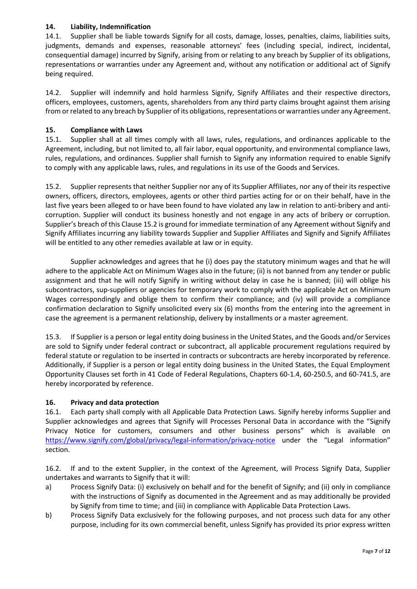## **14. Liability, Indemnification**

14.1. Supplier shall be liable towards Signify for all costs, damage, losses, penalties, claims, liabilities suits, judgments, demands and expenses, reasonable attorneys' fees (including special, indirect, incidental, consequential damage) incurred by Signify, arising from or relating to any breach by Supplier of its obligations, representations or warranties under any Agreement and, without any notification or additional act of Signify being required.

14.2. Supplier will indemnify and hold harmless Signify, Signify Affiliates and their respective directors, officers, employees, customers, agents, shareholders from any third party claims brought against them arising from or related to any breach by Supplier of its obligations, representations or warranties under any Agreement.

#### **15. Compliance with Laws**

15.1. Supplier shall at all times comply with all laws, rules, regulations, and ordinances applicable to the Agreement, including, but not limited to, all fair labor, equal opportunity, and environmental compliance laws, rules, regulations, and ordinances. Supplier shall furnish to Signify any information required to enable Signify to comply with any applicable laws, rules, and regulations in its use of the Goods and Services.

15.2. Supplier represents that neither Supplier nor any of its Supplier Affiliates, nor any of their its respective owners, officers, directors, employees, agents or other third parties acting for or on their behalf, have in the last five years been alleged to or have been found to have violated any law in relation to anti-bribery and anticorruption. Supplier will conduct its business honestly and not engage in any acts of bribery or corruption. Supplier's breach of this Clause 15.2 is ground for immediate termination of any Agreement without Signify and Signify Affiliates incurring any liability towards Supplier and Supplier Affiliates and Signify and Signify Affiliates will be entitled to any other remedies available at law or in equity.

Supplier acknowledges and agrees that he (i) does pay the statutory minimum wages and that he will adhere to the applicable Act on Minimum Wages also in the future; (ii) is not banned from any tender or public assignment and that he will notify Signify in writing without delay in case he is banned; (iii) will oblige his subcontractors, sup-suppliers or agencies for temporary work to comply with the applicable Act on Minimum Wages correspondingly and oblige them to confirm their compliance; and (iv) will provide a compliance confirmation declaration to Signify unsolicited every six (6) months from the entering into the agreement in case the agreement is a permanent relationship, delivery by installments or a master agreement.

15.3. If Supplier is a person or legal entity doing business in the United States, and the Goods and/or Services are sold to Signify under federal contract or subcontract, all applicable procurement regulations required by federal statute or regulation to be inserted in contracts or subcontracts are hereby incorporated by reference. Additionally, if Supplier is a person or legal entity doing business in the United States, the Equal Employment Opportunity Clauses set forth in 41 Code of Federal Regulations, Chapters 60-1.4, 60-250.5, and 60-741.5, are hereby incorporated by reference.

## **16. Privacy and data protection**

16.1. Each party shall comply with all Applicable Data Protection Laws. Signify hereby informs Supplier and Supplier acknowledges and agrees that Signify will Processes Personal Data in accordance with the "Signify Privacy Notice for customers, consumers and other business persons" which is available on <https://www.signify.com/global/privacy/legal-information/privacy-notice> under the "Legal information" section.

16.2. If and to the extent Supplier, in the context of the Agreement, will Process Signify Data, Supplier undertakes and warrants to Signify that it will:

- a) Process Signify Data: (i) exclusively on behalf and for the benefit of Signify; and (ii) only in compliance with the instructions of Signify as documented in the Agreement and as may additionally be provided by Signify from time to time; and (iii) in compliance with Applicable Data Protection Laws.
- b) Process Signify Data exclusively for the following purposes, and not process such data for any other purpose, including for its own commercial benefit, unless Signify has provided its prior express written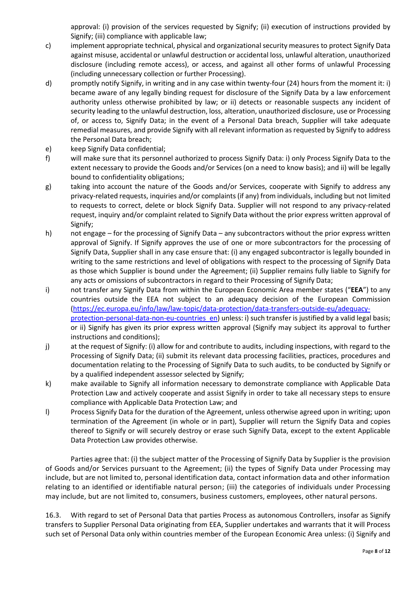approval: (i) provision of the services requested by Signify; (ii) execution of instructions provided by Signify; (iii) compliance with applicable law;

- c) implement appropriate technical, physical and organizational security measures to protect Signify Data against misuse, accidental or unlawful destruction or accidental loss, unlawful alteration, unauthorized disclosure (including remote access), or access, and against all other forms of unlawful Processing (including unnecessary collection or further Processing).
- d) promptly notify Signify, in writing and in any case within twenty-four (24) hours from the moment it: i) became aware of any legally binding request for disclosure of the Signify Data by a law enforcement authority unless otherwise prohibited by law; or ii) detects or reasonable suspects any incident of security leading to the unlawful destruction, loss, alteration, unauthorized disclosure, use or Processing of, or access to, Signify Data; in the event of a Personal Data breach, Supplier will take adequate remedial measures, and provide Signify with all relevant information as requested by Signify to address the Personal Data breach;
- e) keep Signify Data confidential;
- f) will make sure that its personnel authorized to process Signify Data: i) only Process Signify Data to the extent necessary to provide the Goods and/or Services (on a need to know basis); and ii) will be legally bound to confidentiality obligations;
- g) taking into account the nature of the Goods and/or Services, cooperate with Signify to address any privacy-related requests, inquiries and/or complaints (if any) from individuals, including but not limited to requests to correct, delete or block Signify Data. Supplier will not respond to any privacy-related request, inquiry and/or complaint related to Signify Data without the prior express written approval of Signify;
- h) not engage for the processing of Signify Data any subcontractors without the prior express written approval of Signify. If Signify approves the use of one or more subcontractors for the processing of Signify Data, Supplier shall in any case ensure that: (i) any engaged subcontractor is legally bounded in writing to the same restrictions and level of obligations with respect to the processing of Signify Data as those which Supplier is bound under the Agreement; (ii) Supplier remains fully liable to Signify for any acts or omissions of subcontractors in regard to their Processing of Signify Data;
- i) not transfer any Signify Data from within the European Economic Area member states ("**EEA**") to any countries outside the EEA not subject to an adequacy decision of the European Commission [\(https://ec.europa.eu/info/law/law-topic/data-protection/data-transfers-outside-eu/adequacy](https://ec.europa.eu/info/law/law-topic/data-protection/data-transfers-outside-eu/adequacy-protection-personal-data-non-eu-countries_en)protection-personal-data-non-eu-countries en) unless: i) such transfer is justified by a valid legal basis; or ii) Signify has given its prior express written approval (Signify may subject its approval to further instructions and conditions);
- j) at the request of Signify: (i) allow for and contribute to audits, including inspections, with regard to the Processing of Signify Data; (ii) submit its relevant data processing facilities, practices, procedures and documentation relating to the Processing of Signify Data to such audits, to be conducted by Signify or by a qualified independent assessor selected by Signify;
- k) make available to Signify all information necessary to demonstrate compliance with Applicable Data Protection Law and actively cooperate and assist Signify in order to take all necessary steps to ensure compliance with Applicable Data Protection Law; and
- l) Process Signify Data for the duration of the Agreement, unless otherwise agreed upon in writing; upon termination of the Agreement (in whole or in part), Supplier will return the Signify Data and copies thereof to Signify or will securely destroy or erase such Signify Data, except to the extent Applicable Data Protection Law provides otherwise.

Parties agree that: (i) the subject matter of the Processing of Signify Data by Supplier is the provision of Goods and/or Services pursuant to the Agreement; (ii) the types of Signify Data under Processing may include, but are not limited to, personal identification data, contact information data and other information relating to an identified or identifiable natural person; (iii) the categories of individuals under Processing may include, but are not limited to, consumers, business customers, employees, other natural persons.

16.3. With regard to set of Personal Data that parties Process as autonomous Controllers, insofar as Signify transfers to Supplier Personal Data originating from EEA, Supplier undertakes and warrants that it will Process such set of Personal Data only within countries member of the European Economic Area unless: (i) Signify and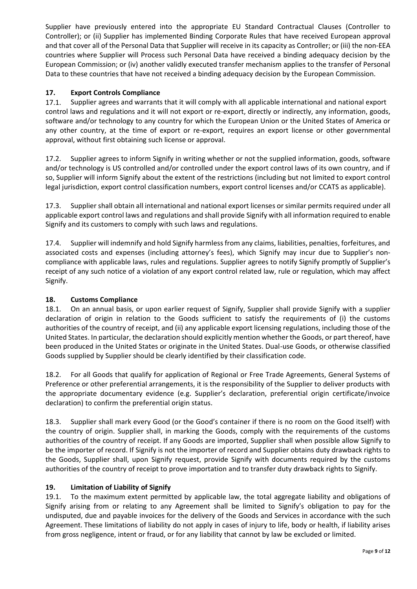Supplier have previously entered into the appropriate EU Standard Contractual Clauses (Controller to Controller); or (ii) Supplier has implemented Binding Corporate Rules that have received European approval and that cover all of the Personal Data that Supplier will receive in its capacity as Controller; or (iii) the non-EEA countries where Supplier will Process such Personal Data have received a binding adequacy decision by the European Commission; or (iv) another validly executed transfer mechanism applies to the transfer of Personal Data to these countries that have not received a binding adequacy decision by the European Commission.

# **17. Export Controls Compliance**

17.1. Supplier agrees and warrants that it will comply with all applicable international and national export control laws and regulations and it will not export or re-export, directly or indirectly, any information, goods, software and/or technology to any country for which the European Union or the United States of America or any other country, at the time of export or re-export, requires an export license or other governmental approval, without first obtaining such license or approval.

17.2. Supplier agrees to inform Signify in writing whether or not the supplied information, goods, software and/or technology is US controlled and/or controlled under the export control laws of its own country, and if so, Supplier will inform Signify about the extent of the restrictions (including but not limited to export control legal jurisdiction, export control classification numbers, export control licenses and/or CCATS as applicable).

17.3. Supplier shall obtain all international and national export licenses or similar permits required under all applicable export control laws and regulations and shall provide Signify with all information required to enable Signify and its customers to comply with such laws and regulations.

17.4. Supplier will indemnify and hold Signify harmless from any claims, liabilities, penalties, forfeitures, and associated costs and expenses (including attorney's fees), which Signify may incur due to Supplier's noncompliance with applicable laws, rules and regulations. Supplier agrees to notify Signify promptly of Supplier's receipt of any such notice of a violation of any export control related law, rule or regulation, which may affect Signify.

## **18. Customs Compliance**

18.1. On an annual basis, or upon earlier request of Signify, Supplier shall provide Signify with a supplier declaration of origin in relation to the Goods sufficient to satisfy the requirements of (i) the customs authorities of the country of receipt, and (ii) any applicable export licensing regulations, including those of the United States. In particular, the declaration should explicitly mention whether the Goods, or part thereof, have been produced in the United States or originate in the United States. Dual-use Goods, or otherwise classified Goods supplied by Supplier should be clearly identified by their classification code.

18.2. For all Goods that qualify for application of Regional or Free Trade Agreements, General Systems of Preference or other preferential arrangements, it is the responsibility of the Supplier to deliver products with the appropriate documentary evidence (e.g. Supplier's declaration, preferential origin certificate/invoice declaration) to confirm the preferential origin status.

18.3. Supplier shall mark every Good (or the Good's container if there is no room on the Good itself) with the country of origin. Supplier shall, in marking the Goods, comply with the requirements of the customs authorities of the country of receipt. If any Goods are imported, Supplier shall when possible allow Signify to be the importer of record. If Signify is not the importer of record and Supplier obtains duty drawback rights to the Goods, Supplier shall, upon Signify request, provide Signify with documents required by the customs authorities of the country of receipt to prove importation and to transfer duty drawback rights to Signify.

## **19. Limitation of Liability of Signify**

19.1. To the maximum extent permitted by applicable law, the total aggregate liability and obligations of Signify arising from or relating to any Agreement shall be limited to Signify's obligation to pay for the undisputed, due and payable invoices for the delivery of the Goods and Services in accordance with the such Agreement. These limitations of liability do not apply in cases of injury to life, body or health, if liability arises from gross negligence, intent or fraud, or for any liability that cannot by law be excluded or limited.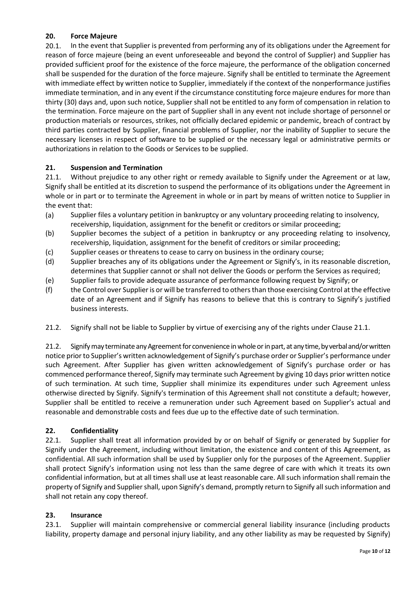# **20. Force Majeure**

20.1. In the event that Supplier is prevented from performing any of its obligations under the Agreement for reason of force majeure (being an event unforeseeable and beyond the control of Supplier) and Supplier has provided sufficient proof for the existence of the force majeure, the performance of the obligation concerned shall be suspended for the duration of the force majeure. Signify shall be entitled to terminate the Agreement with immediate effect by written notice to Supplier, immediately if the context of the nonperformance justifies immediate termination, and in any event if the circumstance constituting force majeure endures for more than thirty (30) days and, upon such notice, Supplier shall not be entitled to any form of compensation in relation to the termination. Force majeure on the part of Supplier shall in any event not include shortage of personnel or production materials or resources, strikes, not officially declared epidemic or pandemic, breach of contract by third parties contracted by Supplier, financial problems of Supplier, nor the inability of Supplier to secure the necessary licenses in respect of software to be supplied or the necessary legal or administrative permits or authorizations in relation to the Goods or Services to be supplied.

## **21. Suspension and Termination**

21.1. Without prejudice to any other right or remedy available to Signify under the Agreement or at law, Signify shall be entitled at its discretion to suspend the performance of its obligations under the Agreement in whole or in part or to terminate the Agreement in whole or in part by means of written notice to Supplier in the event that:

- (a) Supplier files a voluntary petition in bankruptcy or any voluntary proceeding relating to insolvency, receivership, liquidation, assignment for the benefit or creditors or similar proceeding;
- (b) Supplier becomes the subject of a petition in bankruptcy or any proceeding relating to insolvency, receivership, liquidation, assignment for the benefit of creditors or similar proceeding;
- (c) Supplier ceases or threatens to cease to carry on business in the ordinary course;
- (d) Supplier breaches any of its obligations under the Agreement or Signify's, in its reasonable discretion, determines that Supplier cannot or shall not deliver the Goods or perform the Services as required;
- (e) Supplier fails to provide adequate assurance of performance following request by Signify; or
- (f) the Control over Supplier is or will be transferred to others than those exercising Control at the effective date of an Agreement and if Signify has reasons to believe that this is contrary to Signify's justified business interests.
- 21.2. Signify shall not be liable to Supplier by virtue of exercising any of the rights under Clause 21.1.

21.2. Signifymay terminate any Agreement for convenience in whole or in part, at any time, by verbal and/or written notice prior to Supplier's written acknowledgement of Signify's purchase order or Supplier's performance under such Agreement. After Supplier has given written acknowledgement of Signify's purchase order or has commenced performance thereof, Signify may terminate such Agreement by giving 10 days prior written notice of such termination. At such time, Supplier shall minimize its expenditures under such Agreement unless otherwise directed by Signify. Signify's termination of this Agreement shall not constitute a default; however, Supplier shall be entitled to receive a remuneration under such Agreement based on Supplier's actual and reasonable and demonstrable costs and fees due up to the effective date of such termination.

## **22. Confidentiality**

22.1. Supplier shall treat all information provided by or on behalf of Signify or generated by Supplier for Signify under the Agreement, including without limitation, the existence and content of this Agreement, as confidential. All such information shall be used by Supplier only for the purposes of the Agreement. Supplier shall protect Signify's information using not less than the same degree of care with which it treats its own confidential information, but at all times shall use at least reasonable care. All such information shall remain the property of Signify and Supplier shall, upon Signify's demand, promptly return to Signify all such information and shall not retain any copy thereof.

## **23. Insurance**

23.1. Supplier will maintain comprehensive or commercial general liability insurance (including products liability, property damage and personal injury liability, and any other liability as may be requested by Signify)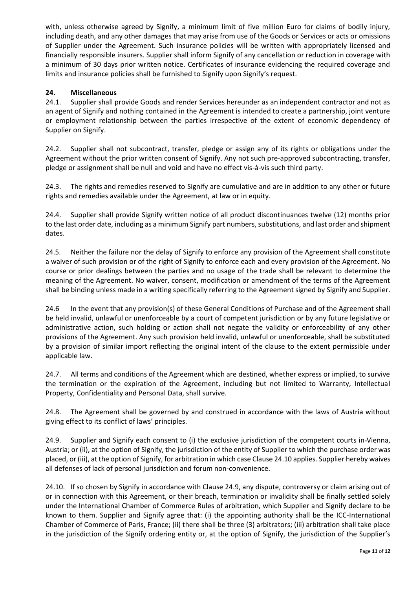with, unless otherwise agreed by Signify, a minimum limit of five million Euro for claims of bodily injury, including death, and any other damages that may arise from use of the Goods or Services or acts or omissions of Supplier under the Agreement. Such insurance policies will be written with appropriately licensed and financially responsible insurers. Supplier shall inform Signify of any cancellation or reduction in coverage with a minimum of 30 days prior written notice. Certificates of insurance evidencing the required coverage and limits and insurance policies shall be furnished to Signify upon Signify's request.

# **24. Miscellaneous**

24.1. Supplier shall provide Goods and render Services hereunder as an independent contractor and not as an agent of Signify and nothing contained in the Agreement is intended to create a partnership, joint venture or employment relationship between the parties irrespective of the extent of economic dependency of Supplier on Signify.

24.2. Supplier shall not subcontract, transfer, pledge or assign any of its rights or obligations under the Agreement without the prior written consent of Signify. Any not such pre-approved subcontracting, transfer, pledge or assignment shall be null and void and have no effect vis-à-vis such third party.

24.3. The rights and remedies reserved to Signify are cumulative and are in addition to any other or future rights and remedies available under the Agreement, at law or in equity.

24.4. Supplier shall provide Signify written notice of all product discontinuances twelve (12) months prior to the last order date, including as a minimum Signify part numbers, substitutions, and last order and shipment dates.

24.5. Neither the failure nor the delay of Signify to enforce any provision of the Agreement shall constitute a waiver of such provision or of the right of Signify to enforce each and every provision of the Agreement. No course or prior dealings between the parties and no usage of the trade shall be relevant to determine the meaning of the Agreement. No waiver, consent, modification or amendment of the terms of the Agreement shall be binding unless made in a writing specifically referring to the Agreement signed by Signify and Supplier.

24.6 In the event that any provision(s) of these General Conditions of Purchase and of the Agreement shall be held invalid, unlawful or unenforceable by a court of competent jurisdiction or by any future legislative or administrative action, such holding or action shall not negate the validity or enforceability of any other provisions of the Agreement. Any such provision held invalid, unlawful or unenforceable, shall be substituted by a provision of similar import reflecting the original intent of the clause to the extent permissible under applicable law.

24.7. All terms and conditions of the Agreement which are destined, whether express or implied, to survive the termination or the expiration of the Agreement, including but not limited to Warranty, Intellectual Property, Confidentiality and Personal Data, shall survive.

24.8. The Agreement shall be governed by and construed in accordance with the laws of Austria without giving effect to its conflict of laws' principles.

24.9. Supplier and Signify each consent to (i) the exclusive jurisdiction of the competent courts in Vienna, Austria; or (ii), at the option of Signify, the jurisdiction of the entity of Supplier to which the purchase order was placed, or (iii), at the option of Signify, for arbitration in which case Clause 24.10 applies. Supplier hereby waives all defenses of lack of personal jurisdiction and forum non-convenience.

24.10. If so chosen by Signify in accordance with Clause 24.9, any dispute, controversy or claim arising out of or in connection with this Agreement, or their breach, termination or invalidity shall be finally settled solely under the International Chamber of Commerce Rules of arbitration, which Supplier and Signify declare to be known to them. Supplier and Signify agree that: (i) the appointing authority shall be the ICC-International Chamber of Commerce of Paris, France; (ii) there shall be three (3) arbitrators; (iii) arbitration shall take place in the jurisdiction of the Signify ordering entity or, at the option of Signify, the jurisdiction of the Supplier's